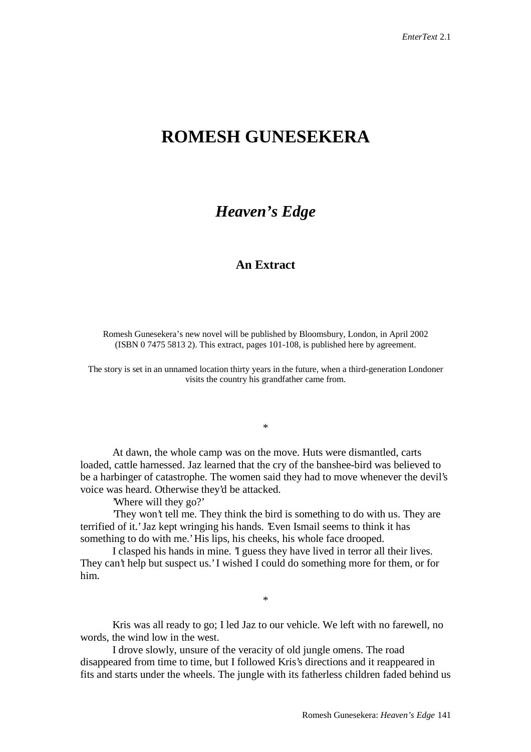## **ROMESH GUNESEKERA**

## *Heaven's Edge*

## **An Extract**

Romesh Gunesekera's new novel will be published by Bloomsbury, London, in April 2002 (ISBN 0 7475 5813 2). This extract, pages 101-108, is published here by agreement.

The story is set in an unnamed location thirty years in the future, when a third-generation Londoner visits the country his grandfather came from.

\*

At dawn, the whole camp was on the move. Huts were dismantled, carts loaded, cattle harnessed. Jaz learned that the cry of the banshee-bird was believed to be a harbinger of catastrophe. The women said they had to move whenever the devil's voice was heard. Otherwise they'd be attacked.

'Where will they go?'

'They won't tell me. They think the bird is something to do with us. They are terrified of it.' Jaz kept wringing his hands. 'Even Ismail seems to think it has something to do with me.' His lips, his cheeks, his whole face drooped.

I clasped his hands in mine. 'I guess they have lived in terror all their lives. They can't help but suspect us.' I wished I could do something more for them, or for him.

Kris was all ready to go; I led Jaz to our vehicle. We left with no farewell, no words, the wind low in the west.

\*

I drove slowly, unsure of the veracity of old jungle omens. The road disappeared from time to time, but I followed Kris's directions and it reappeared in fits and starts under the wheels. The jungle with its fatherless children faded behind us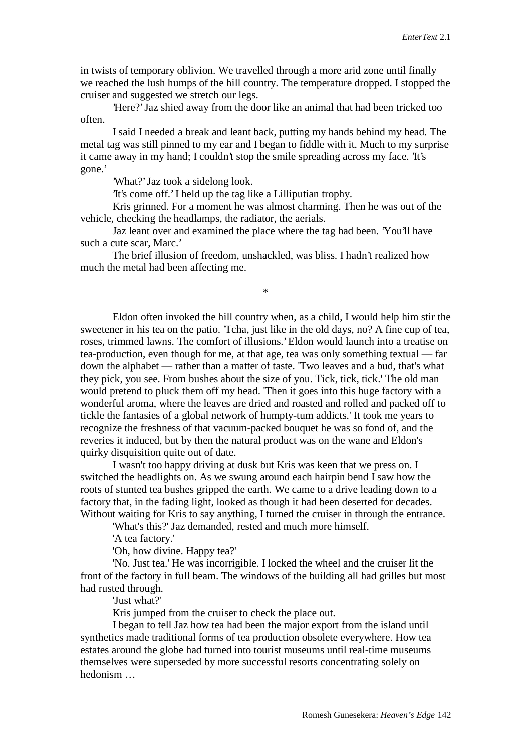in twists of temporary oblivion. We travelled through a more arid zone until finally we reached the lush humps of the hill country. The temperature dropped. I stopped the cruiser and suggested we stretch our legs.

'Here?' Jaz shied away from the door like an animal that had been tricked too often.

I said I needed a break and leant back, putting my hands behind my head. The metal tag was still pinned to my ear and I began to fiddle with it. Much to my surprise it came away in my hand; I couldn't stop the smile spreading across my face. 'It's gone.'

'What?' Jaz took a sidelong look.

'It's come off.' I held up the tag like a Lilliputian trophy.

Kris grinned. For a moment he was almost charming. Then he was out of the vehicle, checking the headlamps, the radiator, the aerials.

Jaz leant over and examined the place where the tag had been. 'You'll have such a cute scar, Marc.'

The brief illusion of freedom, unshackled, was bliss. I hadn't realized how much the metal had been affecting me.

\*

Eldon often invoked the hill country when, as a child, I would help him stir the sweetener in his tea on the patio. 'Tcha, just like in the old days, no? A fine cup of tea, roses, trimmed lawns. The comfort of illusions.' Eldon would launch into a treatise on tea-production, even though for me, at that age, tea was only something textual — far down the alphabet — rather than a matter of taste. 'Two leaves and a bud, that's what they pick, you see. From bushes about the size of you. Tick, tick, tick.' The old man would pretend to pluck them off my head. Then it goes into this huge factory with a wonderful aroma, where the leaves are dried and roasted and rolled and packed off to tickle the fantasies of a global network of humpty-tum addicts.' It took me years to recognize the freshness of that vacuum-packed bouquet he was so fond of, and the reveries it induced, but by then the natural product was on the wane and Eldon's quirky disquisition quite out of date.

I wasn't too happy driving at dusk but Kris was keen that we press on. I switched the headlights on. As we swung around each hairpin bend I saw how the roots of stunted tea bushes gripped the earth. We came to a drive leading down to a factory that, in the fading light, looked as though it had been deserted for decades. Without waiting for Kris to say anything, I turned the cruiser in through the entrance.

'What's this?' Jaz demanded, rested and much more himself.

'A tea factory.'

'Oh, how divine. Happy tea?'

'No. Just tea.' He was incorrigible. I locked the wheel and the cruiser lit the front of the factory in full beam. The windows of the building all had grilles but most had rusted through.

'Just what?'

Kris jumped from the cruiser to check the place out.

I began to tell Jaz how tea had been the major export from the island until synthetics made traditional forms of tea production obsolete everywhere. How tea estates around the globe had turned into tourist museums until real-time museums themselves were superseded by more successful resorts concentrating solely on hedonism …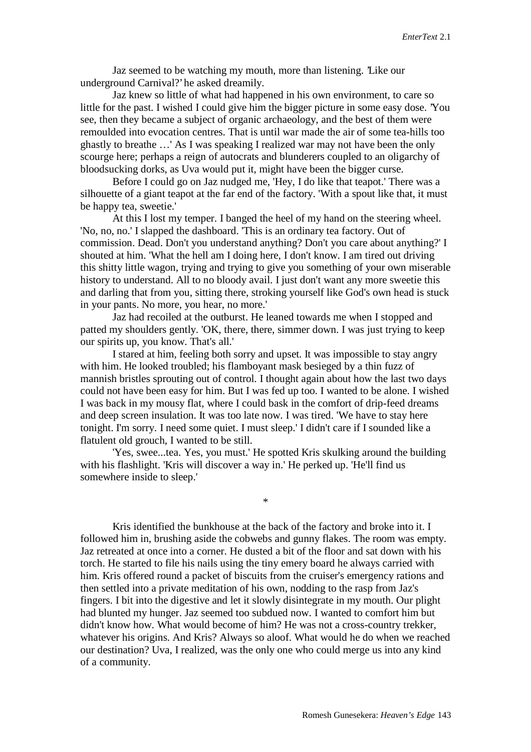Jaz seemed to be watching my mouth, more than listening. 'Like our underground Carnival?' he asked dreamily.

Jaz knew so little of what had happened in his own environment, to care so little for the past. I wished I could give him the bigger picture in some easy dose. 'You see, then they became a subject of organic archaeology, and the best of them were remoulded into evocation centres. That is until war made the air of some tea-hills too ghastly to breathe …' As I was speaking I realized war may not have been the only scourge here; perhaps a reign of autocrats and blunderers coupled to an oligarchy of bloodsucking dorks, as Uva would put it, might have been the bigger curse.

Before I could go on Jaz nudged me, 'Hey, I do like that teapot.' There was a silhouette of a giant teapot at the far end of the factory. 'With a spout like that, it must be happy tea, sweetie.'

At this I lost my temper. I banged the heel of my hand on the steering wheel. 'No, no, no.' I slapped the dashboard. 'This is an ordinary tea factory. Out of commission. Dead. Don't you understand anything? Don't you care about anything?' I shouted at him. 'What the hell am I doing here, I don't know. I am tired out driving this shitty little wagon, trying and trying to give you something of your own miserable history to understand. All to no bloody avail. I just don't want any more sweetie this and darling that from you, sitting there, stroking yourself like God's own head is stuck in your pants. No more, you hear, no more.'

Jaz had recoiled at the outburst. He leaned towards me when I stopped and patted my shoulders gently. 'OK, there, there, simmer down. I was just trying to keep our spirits up, you know. That's all.'

I stared at him, feeling both sorry and upset. It was impossible to stay angry with him. He looked troubled; his flamboyant mask besieged by a thin fuzz of mannish bristles sprouting out of control. I thought again about how the last two days could not have been easy for him. But I was fed up too. I wanted to be alone. I wished I was back in my mousy flat, where I could bask in the comfort of drip-feed dreams and deep screen insulation. It was too late now. I was tired. 'We have to stay here tonight. I'm sorry. I need some quiet. I must sleep.' I didn't care if I sounded like a flatulent old grouch, I wanted to be still.

'Yes, swee...tea. Yes, you must.' He spotted Kris skulking around the building with his flashlight. 'Kris will discover a way in.' He perked up. 'He'll find us somewhere inside to sleep.'

\*

Kris identified the bunkhouse at the back of the factory and broke into it. I followed him in, brushing aside the cobwebs and gunny flakes. The room was empty. Jaz retreated at once into a corner. He dusted a bit of the floor and sat down with his torch. He started to file his nails using the tiny emery board he always carried with him. Kris offered round a packet of biscuits from the cruiser's emergency rations and then settled into a private meditation of his own, nodding to the rasp from Jaz's fingers. I bit into the digestive and let it slowly disintegrate in my mouth. Our plight had blunted my hunger. Jaz seemed too subdued now. I wanted to comfort him but didn't know how. What would become of him? He was not a cross-country trekker, whatever his origins. And Kris? Always so aloof. What would he do when we reached our destination? Uva, I realized, was the only one who could merge us into any kind of a community.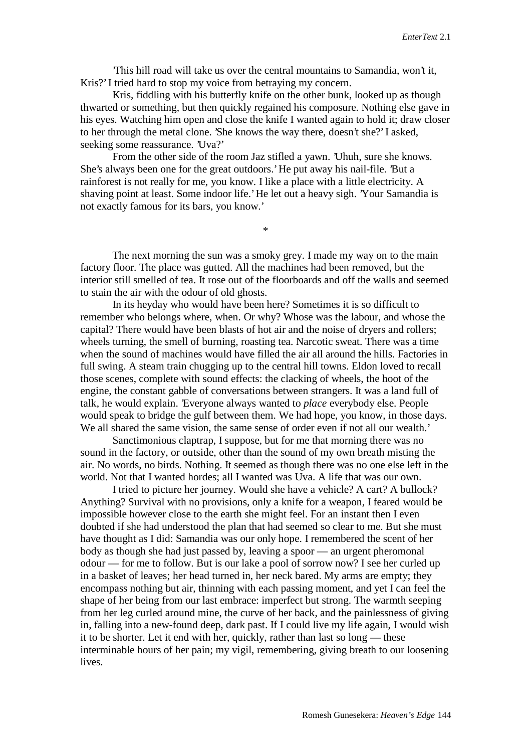'This hill road will take us over the central mountains to Samandia, won't it, Kris?' I tried hard to stop my voice from betraying my concern.

Kris, fiddling with his butterfly knife on the other bunk, looked up as though thwarted or something, but then quickly regained his composure. Nothing else gave in his eyes. Watching him open and close the knife I wanted again to hold it; draw closer to her through the metal clone. 'She knows the way there, doesn't she?' I asked, seeking some reassurance. 'Uva?'

From the other side of the room Jaz stifled a yawn. 'Uhuh, sure she knows. She's always been one for the great outdoors.' He put away his nail-file. 'But a rainforest is not really for me, you know. I like a place with a little electricity. A shaving point at least. Some indoor life.' He let out a heavy sigh. 'Your Samandia is not exactly famous for its bars, you know.'

The next morning the sun was a smoky grey. I made my way on to the main factory floor. The place was gutted. All the machines had been removed, but the interior still smelled of tea. It rose out of the floorboards and off the walls and seemed to stain the air with the odour of old ghosts.

\*

In its heyday who would have been here? Sometimes it is so difficult to remember who belongs where, when. Or why? Whose was the labour, and whose the capital? There would have been blasts of hot air and the noise of dryers and rollers; wheels turning, the smell of burning, roasting tea. Narcotic sweat. There was a time when the sound of machines would have filled the air all around the hills. Factories in full swing. A steam train chugging up to the central hill towns. Eldon loved to recall those scenes, complete with sound effects: the clacking of wheels, the hoot of the engine, the constant gabble of conversations between strangers. It was a land full of talk, he would explain. 'Everyone always wanted to *place* everybody else. People would speak to bridge the gulf between them. We had hope, you know, in those days. We all shared the same vision, the same sense of order even if not all our wealth.'

Sanctimonious claptrap, I suppose, but for me that morning there was no sound in the factory, or outside, other than the sound of my own breath misting the air. No words, no birds. Nothing. It seemed as though there was no one else left in the world. Not that I wanted hordes; all I wanted was Uva. A life that was our own.

I tried to picture her journey. Would she have a vehicle? A cart? A bullock? Anything? Survival with no provisions, only a knife for a weapon, I feared would be impossible however close to the earth she might feel. For an instant then I even doubted if she had understood the plan that had seemed so clear to me. But she must have thought as I did: Samandia was our only hope. I remembered the scent of her body as though she had just passed by, leaving a spoor — an urgent pheromonal odour — for me to follow. But is our lake a pool of sorrow now? I see her curled up in a basket of leaves; her head turned in, her neck bared. My arms are empty; they encompass nothing but air, thinning with each passing moment, and yet I can feel the shape of her being from our last embrace: imperfect but strong. The warmth seeping from her leg curled around mine, the curve of her back, and the painlessness of giving in, falling into a new-found deep, dark past. If I could live my life again, I would wish it to be shorter. Let it end with her, quickly, rather than last so long — these interminable hours of her pain; my vigil, remembering, giving breath to our loosening lives.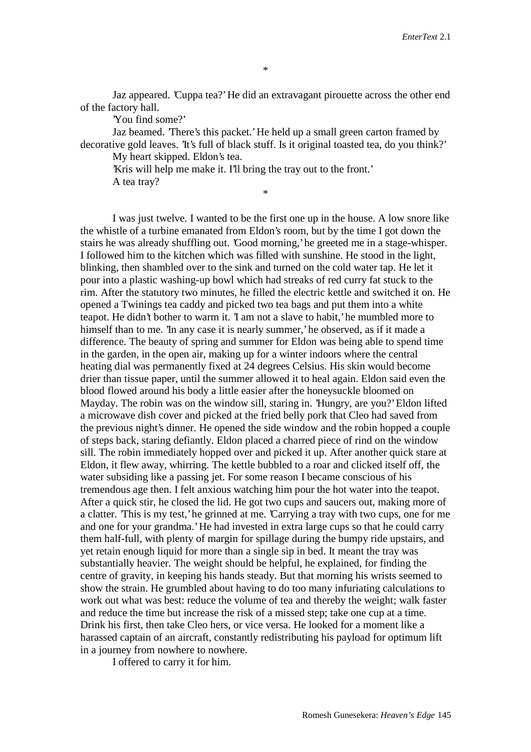\*

Jaz appeared. 'Cuppa tea?' He did an extravagant pirouette across the other end of the factory hall.

'You find some?'

Jaz beamed. 'There's this packet.' He held up a small green carton framed by decorative gold leaves. 'It's full of black stuff. Is it original toasted tea, do you think?'

My heart skipped. Eldon's tea.

'Kris will help me make it. I'll bring the tray out to the front.' A tea tray?

\*

I was just twelve. I wanted to be the first one up in the house. A low snore like the whistle of a turbine emanated from Eldon's room, but by the time I got down the stairs he was already shuffling out. 'Good morning,' he greeted me in a stage-whisper. I followed him to the kitchen which was filled with sunshine. He stood in the light, blinking, then shambled over to the sink and turned on the cold water tap. He let it pour into a plastic washing-up bowl which had streaks of red curry fat stuck to the rim. After the statutory two minutes, he filled the electric kettle and switched it on. He opened a Twinings tea caddy and picked two tea bags and put them into a white teapot. He didn't bother to warm it. 'I am not a slave to habit,' he mumbled more to himself than to me. 'In any case it is nearly summer,' he observed, as if it made a difference. The beauty of spring and summer for Eldon was being able to spend time in the garden, in the open air, making up for a winter indoors where the central heating dial was permanently fixed at 24 degrees Celsius. His skin would become drier than tissue paper, until the summer allowed it to heal again. Eldon said even the blood flowed around his body a little easier after the honeysuckle bloomed on Mayday. The robin was on the window sill, staring in. 'Hungry, are you?' Eldon lifted a microwave dish cover and picked at the fried belly pork that Cleo had saved from the previous night's dinner. He opened the side window and the robin hopped a couple of steps back, staring defiantly. Eldon placed a charred piece of rind on the window sill. The robin immediately hopped over and picked it up. After another quick stare at Eldon, it flew away, whirring. The kettle bubbled to a roar and clicked itself off, the water subsiding like a passing jet. For some reason I became conscious of his tremendous age then. I felt anxious watching him pour the hot water into the teapot. After a quick stir, he closed the lid. He got two cups and saucers out, making more of a clatter. 'This is my test,' he grinned at me. 'Carrying a tray with two cups, one for me and one for your grandma.' He had invested in extra large cups so that he could carry them half-full, with plenty of margin for spillage during the bumpy ride upstairs, and yet retain enough liquid for more than a single sip in bed. It meant the tray was substantially heavier. The weight should be helpful, he explained, for finding the centre of gravity, in keeping his hands steady. But that morning his wrists seemed to show the strain. He grumbled about having to do too many infuriating calculations to work out what was best: reduce the volume of tea and thereby the weight; walk faster and reduce the time but increase the risk of a missed step; take one cup at a time. Drink his first, then take Cleo hers, or vice versa. He looked for a moment like a harassed captain of an aircraft, constantly redistributing his payload for optimum lift in a journey from nowhere to nowhere.

I offered to carry it for him.